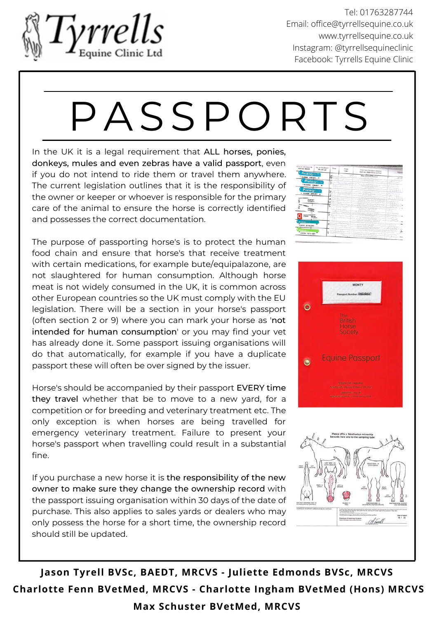

Tel: 01763287744 Email: [office@tyrrellsequine.co.uk](mailto:office@tyrrellsequine.co.uk) [www.tyrrellsequine.co.uk](http://www.tyrrellsequine.co.uk/) Instagram: @tyrrellsequineclinic Facebook: Tyrrells Equine Clinic

## P A SS P O R TS

In the UK it is a legal requirement that ALL horses, ponies, donkeys, mules and even zebras have a valid passport, even if you do not intend to ride them or travel them anywhere. The current legislation outlines that it is the responsibility of the owner or keeper or whoever is responsible for the primary care of the animal to ensure the horse is correctly identified and possesses the correct documentation.

The purpose of passporting horse's is to protect the human food chain and ensure that horse's that receive treatment with certain medications, for example bute/equipalazone, are not slaughtered for human consumption. Although horse meat is not widely consumed in the UK, it is common across other European countries so the UK must comply with the EU legislation. There will be a section in your horse's passport (often section 2 or 9) where you can mark your horse as 'not intended for human consumption' or you may find your vet has already done it. Some passport issuing organisations will do that automatically, for example if you have a duplicate passport these will often be over signed by the issuer.

Horse's should be accompanied by their passport EVERY time they travel whether that be to move to a new yard, for a competition or for breeding and veterinary treatment etc. The only exception is when horses are being travelled for emergency veterinary treatment. Failure to present your horse's passport when travelling could result in a substantial fine.

If you purchase a new horse it is the responsibility of the new owner to make sure they change the ownership record with the passport issuing organisation within 30 days of the date of purchase. This also applies to sales yards or dealers who may only possess the horse for a short time, the ownership record should still be updated.





**Jason Tyrell BVSc, BAEDT, MRCVS - Juliette Edmonds BVSc, MRCVS Charlotte Fenn BVetMed, MRCVS - Charlotte Ingham BVetMed (Hons) MRCVS Max Schuster BVetMed, MRCVS**